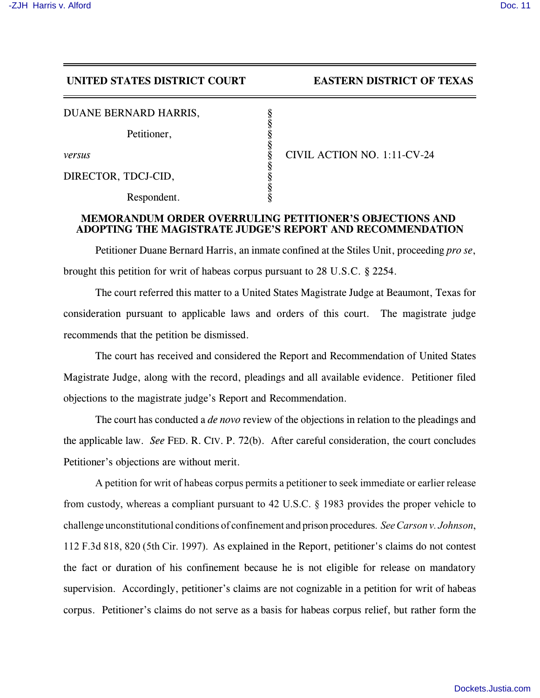## **UNITED STATES DISTRICT COURT EASTERN DISTRICT OF TEXAS**

| DUANE BERNARD HARRIS, |  |
|-----------------------|--|
|                       |  |

Petitioner,

DIRECTOR, TDCJ-CID,

Respondent.

*versus* § CIVIL ACTION NO. 1:11-CV-24

## **MEMORANDUM ORDER OVERRULING PETITIONER'S OBJECTIONS AND ADOPTING THE MAGISTRATE JUDGE'S REPORT AND RECOMMENDATION**

§

§

§

§

Petitioner Duane Bernard Harris, an inmate confined at the Stiles Unit, proceeding *pro se*, brought this petition for writ of habeas corpus pursuant to 28 U.S.C. § 2254.

The court referred this matter to a United States Magistrate Judge at Beaumont, Texas for consideration pursuant to applicable laws and orders of this court. The magistrate judge recommends that the petition be dismissed.

The court has received and considered the Report and Recommendation of United States Magistrate Judge, along with the record, pleadings and all available evidence. Petitioner filed objections to the magistrate judge's Report and Recommendation.

The court has conducted a *de novo* review of the objections in relation to the pleadings and the applicable law. *See* FED. R. CIV. P. 72(b). After careful consideration, the court concludes Petitioner's objections are without merit.

A petition for writ of habeas corpus permits a petitioner to seek immediate or earlier release from custody, whereas a compliant pursuant to 42 U.S.C. § 1983 provides the proper vehicle to challenge unconstitutional conditions of confinement and prison procedures. *SeeCarson v. Johnson*, 112 F.3d 818, 820 (5th Cir. 1997). As explained in the Report, petitioner's claims do not contest the fact or duration of his confinement because he is not eligible for release on mandatory supervision. Accordingly, petitioner's claims are not cognizable in a petition for writ of habeas corpus. Petitioner's claims do not serve as a basis for habeas corpus relief, but rather form the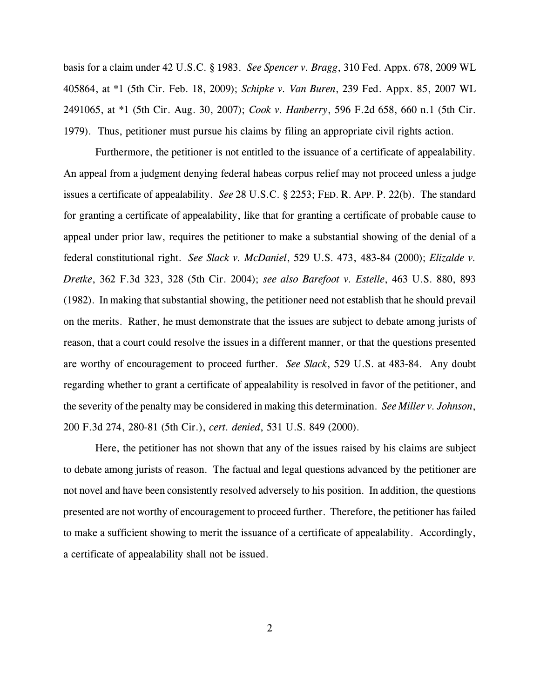basis for a claim under 42 U.S.C. § 1983. *See Spencer v. Bragg*, 310 Fed. Appx. 678, 2009 WL 405864, at \*1 (5th Cir. Feb. 18, 2009); *Schipke v. Van Buren*, 239 Fed. Appx. 85, 2007 WL 2491065, at \*1 (5th Cir. Aug. 30, 2007); *Cook v. Hanberry*, 596 F.2d 658, 660 n.1 (5th Cir. 1979). Thus, petitioner must pursue his claims by filing an appropriate civil rights action.

Furthermore, the petitioner is not entitled to the issuance of a certificate of appealability. An appeal from a judgment denying federal habeas corpus relief may not proceed unless a judge issues a certificate of appealability. *See* 28 U.S.C. § 2253; FED. R. APP. P. 22(b). The standard for granting a certificate of appealability, like that for granting a certificate of probable cause to appeal under prior law, requires the petitioner to make a substantial showing of the denial of a federal constitutional right. *See Slack v. McDaniel*, 529 U.S. 473, 483-84 (2000); *Elizalde v. Dretke*, 362 F.3d 323, 328 (5th Cir. 2004); *see also Barefoot v. Estelle*, 463 U.S. 880, 893 (1982). In making that substantial showing, the petitioner need not establish that he should prevail on the merits. Rather, he must demonstrate that the issues are subject to debate among jurists of reason, that a court could resolve the issues in a different manner, or that the questions presented are worthy of encouragement to proceed further. *See Slack*, 529 U.S. at 483-84. Any doubt regarding whether to grant a certificate of appealability is resolved in favor of the petitioner, and the severity of the penalty may be considered in making this determination. *See Miller v. Johnson*, 200 F.3d 274, 280-81 (5th Cir.), *cert. denied*, 531 U.S. 849 (2000).

Here, the petitioner has not shown that any of the issues raised by his claims are subject to debate among jurists of reason. The factual and legal questions advanced by the petitioner are not novel and have been consistently resolved adversely to his position. In addition, the questions presented are not worthy of encouragement to proceed further. Therefore, the petitioner has failed to make a sufficient showing to merit the issuance of a certificate of appealability. Accordingly, a certificate of appealability shall not be issued.